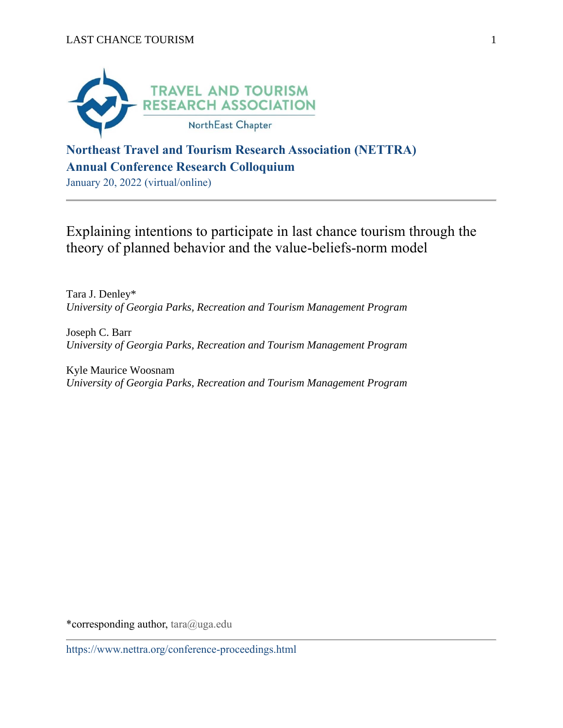

# **Northeast Travel and Tourism Research Association (NETTRA) Annual Conference Research Colloquium**

January 20, 2022 (virtual/online)

Explaining intentions to participate in last chance tourism through the theory of planned behavior and the value-beliefs-norm model

Tara J. Denley\* *University of Georgia Parks, Recreation and Tourism Management Program*

Joseph C. Barr *University of Georgia Parks, Recreation and Tourism Management Program*

Kyle Maurice Woosnam *University of Georgia Parks, Recreation and Tourism Management Program*

\*corresponding author, tara@uga.edu

https://www.nettra.org/conference-proceedings.html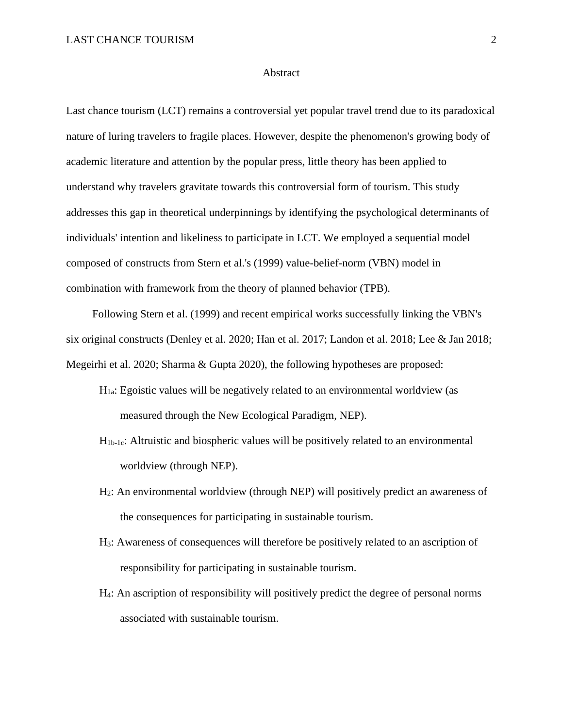#### **Abstract**

Last chance tourism (LCT) remains a controversial yet popular travel trend due to its paradoxical nature of luring travelers to fragile places. However, despite the phenomenon's growing body of academic literature and attention by the popular press, little theory has been applied to understand why travelers gravitate towards this controversial form of tourism. This study addresses this gap in theoretical underpinnings by identifying the psychological determinants of individuals' intention and likeliness to participate in LCT. We employed a sequential model composed of constructs from Stern et al.'s (1999) value-belief-norm (VBN) model in combination with framework from the theory of planned behavior (TPB).

Following Stern et al. (1999) and recent empirical works successfully linking the VBN's six original constructs (Denley et al. 2020; Han et al. 2017; Landon et al. 2018; Lee & Jan 2018; Megeirhi et al. 2020; Sharma & Gupta 2020), the following hypotheses are proposed:

- $H_{1a}$ : Egoistic values will be negatively related to an environmental worldview (as measured through the New Ecological Paradigm, NEP).
- H<sub>1b-1c</sub>: Altruistic and biospheric values will be positively related to an environmental worldview (through NEP).
- H2: An environmental worldview (through NEP) will positively predict an awareness of the consequences for participating in sustainable tourism.
- H3: Awareness of consequences will therefore be positively related to an ascription of responsibility for participating in sustainable tourism.
- H4: An ascription of responsibility will positively predict the degree of personal norms associated with sustainable tourism.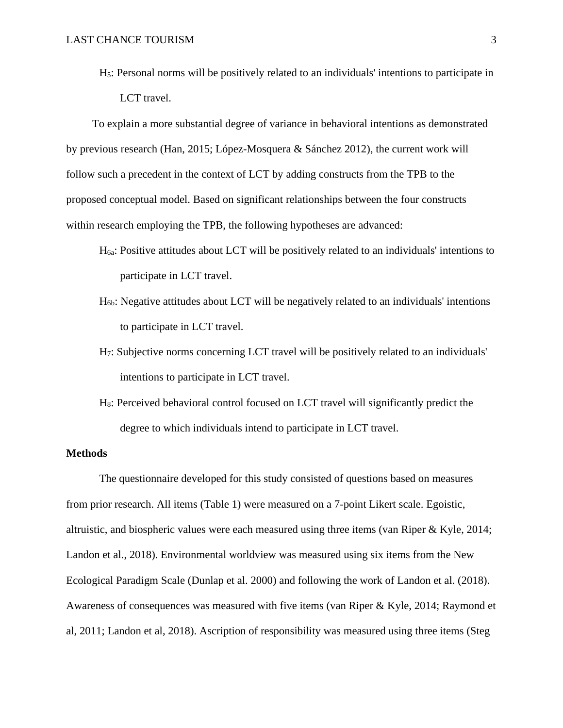H5: Personal norms will be positively related to an individuals' intentions to participate in LCT travel.

To explain a more substantial degree of variance in behavioral intentions as demonstrated by previous research (Han, 2015; López-Mosquera & Sánchez 2012), the current work will follow such a precedent in the context of LCT by adding constructs from the TPB to the proposed conceptual model. Based on significant relationships between the four constructs within research employing the TPB, the following hypotheses are advanced:

- H6a: Positive attitudes about LCT will be positively related to an individuals' intentions to participate in LCT travel.
- H6b: Negative attitudes about LCT will be negatively related to an individuals' intentions to participate in LCT travel.
- H7: Subjective norms concerning LCT travel will be positively related to an individuals' intentions to participate in LCT travel.
- H8: Perceived behavioral control focused on LCT travel will significantly predict the degree to which individuals intend to participate in LCT travel.

# **Methods**

The questionnaire developed for this study consisted of questions based on measures from prior research. All items (Table 1) were measured on a 7-point Likert scale. Egoistic, altruistic, and biospheric values were each measured using three items (van Riper & Kyle, 2014; Landon et al., 2018). Environmental worldview was measured using six items from the New Ecological Paradigm Scale (Dunlap et al. 2000) and following the work of Landon et al. (2018). Awareness of consequences was measured with five items (van Riper & Kyle, 2014; Raymond et al, 2011; Landon et al, 2018). Ascription of responsibility was measured using three items (Steg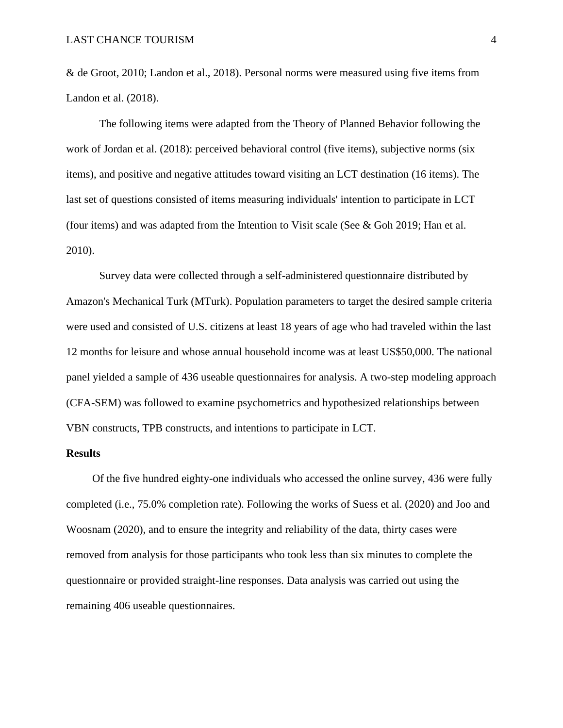& de Groot, 2010; Landon et al., 2018). Personal norms were measured using five items from Landon et al. (2018).

The following items were adapted from the Theory of Planned Behavior following the work of Jordan et al. (2018): perceived behavioral control (five items), subjective norms (six items), and positive and negative attitudes toward visiting an LCT destination (16 items). The last set of questions consisted of items measuring individuals' intention to participate in LCT (four items) and was adapted from the Intention to Visit scale (See  $\&$  Goh 2019; Han et al. 2010).

Survey data were collected through a self-administered questionnaire distributed by Amazon's Mechanical Turk (MTurk). Population parameters to target the desired sample criteria were used and consisted of U.S. citizens at least 18 years of age who had traveled within the last 12 months for leisure and whose annual household income was at least US\$50,000. The national panel yielded a sample of 436 useable questionnaires for analysis. A two-step modeling approach (CFA-SEM) was followed to examine psychometrics and hypothesized relationships between VBN constructs, TPB constructs, and intentions to participate in LCT.

#### **Results**

Of the five hundred eighty-one individuals who accessed the online survey, 436 were fully completed (i.e., 75.0% completion rate). Following the works of Suess et al. (2020) and Joo and Woosnam (2020), and to ensure the integrity and reliability of the data, thirty cases were removed from analysis for those participants who took less than six minutes to complete the questionnaire or provided straight-line responses. Data analysis was carried out using the remaining 406 useable questionnaires.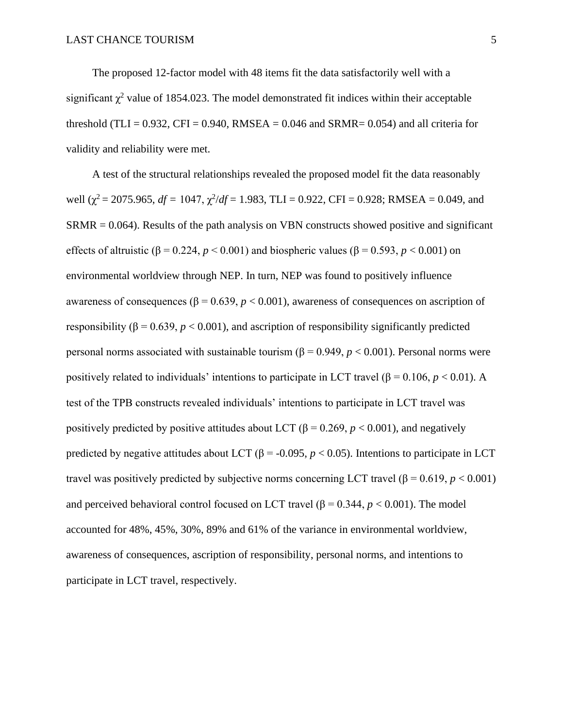The proposed 12-factor model with 48 items fit the data satisfactorily well with a significant  $\chi^2$  value of 1854.023. The model demonstrated fit indices within their acceptable threshold (TLI =  $0.932$ , CFI =  $0.940$ , RMSEA =  $0.046$  and SRMR=  $0.054$ ) and all criteria for validity and reliability were met.

A test of the structural relationships revealed the proposed model fit the data reasonably well ( $\chi^2$  = 2075.965, *df* = 1047,  $\chi^2$ /*df* = 1.983, TLI = 0.922, CFI = 0.928; RMSEA = 0.049, and SRMR = 0.064). Results of the path analysis on VBN constructs showed positive and significant effects of altruistic ( $\beta$  = 0.224,  $p$  < 0.001) and biospheric values ( $\beta$  = 0.593,  $p$  < 0.001) on environmental worldview through NEP. In turn, NEP was found to positively influence awareness of consequences ( $β = 0.639, p < 0.001$ ), awareness of consequences on ascription of responsibility ( $\beta$  = 0.639, *p* < 0.001), and ascription of responsibility significantly predicted personal norms associated with sustainable tourism (β = 0.949, *p* < 0.001). Personal norms were positively related to individuals' intentions to participate in LCT travel ( $\beta$  = 0.106, *p* < 0.01). A test of the TPB constructs revealed individuals' intentions to participate in LCT travel was positively predicted by positive attitudes about LCT ( $\beta$  = 0.269, *p* < 0.001), and negatively predicted by negative attitudes about LCT ( $\beta$  = -0.095, *p* < 0.05). Intentions to participate in LCT travel was positively predicted by subjective norms concerning LCT travel ( $\beta$  = 0.619, *p* < 0.001) and perceived behavioral control focused on LCT travel ( $\beta$  = 0.344,  $p$  < 0.001). The model accounted for 48%, 45%, 30%, 89% and 61% of the variance in environmental worldview, awareness of consequences, ascription of responsibility, personal norms, and intentions to participate in LCT travel, respectively.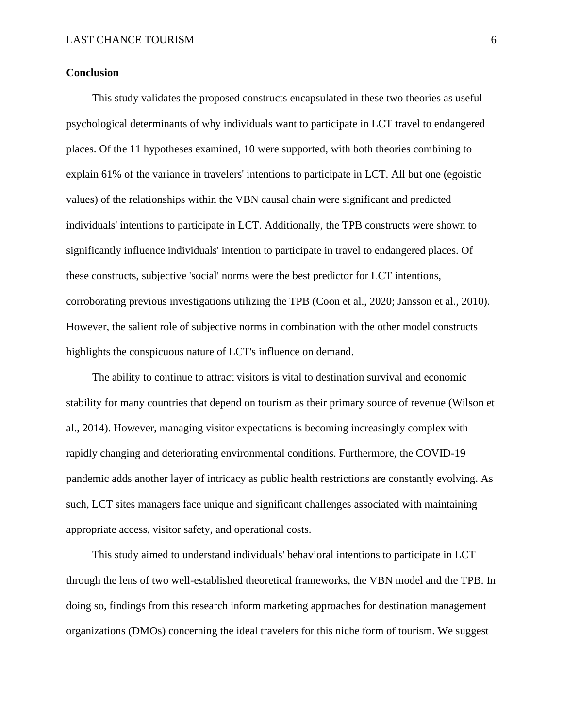# **Conclusion**

This study validates the proposed constructs encapsulated in these two theories as useful psychological determinants of why individuals want to participate in LCT travel to endangered places. Of the 11 hypotheses examined, 10 were supported, with both theories combining to explain 61% of the variance in travelers' intentions to participate in LCT. All but one (egoistic values) of the relationships within the VBN causal chain were significant and predicted individuals' intentions to participate in LCT. Additionally, the TPB constructs were shown to significantly influence individuals' intention to participate in travel to endangered places. Of these constructs, subjective 'social' norms were the best predictor for LCT intentions, corroborating previous investigations utilizing the TPB (Coon et al., 2020; Jansson et al., 2010). However, the salient role of subjective norms in combination with the other model constructs highlights the conspicuous nature of LCT's influence on demand.

The ability to continue to attract visitors is vital to destination survival and economic stability for many countries that depend on tourism as their primary source of revenue (Wilson et al., 2014). However, managing visitor expectations is becoming increasingly complex with rapidly changing and deteriorating environmental conditions. Furthermore, the COVID-19 pandemic adds another layer of intricacy as public health restrictions are constantly evolving. As such, LCT sites managers face unique and significant challenges associated with maintaining appropriate access, visitor safety, and operational costs.

This study aimed to understand individuals' behavioral intentions to participate in LCT through the lens of two well-established theoretical frameworks, the VBN model and the TPB. In doing so, findings from this research inform marketing approaches for destination management organizations (DMOs) concerning the ideal travelers for this niche form of tourism. We suggest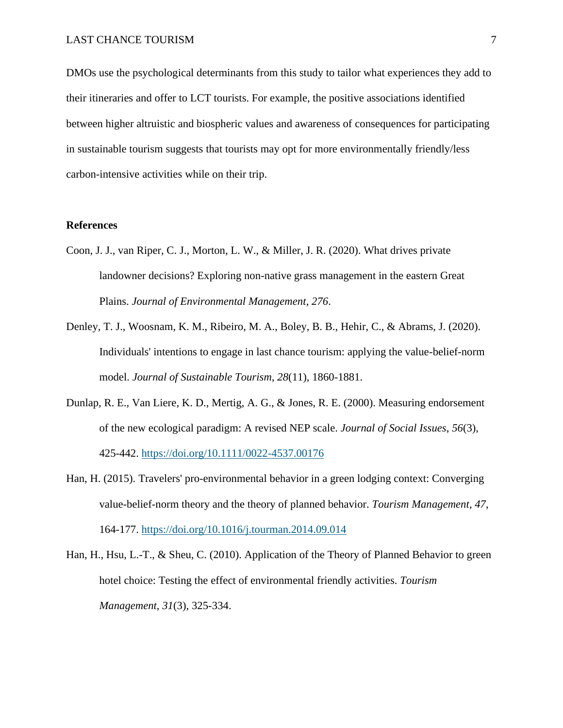DMOs use the psychological determinants from this study to tailor what experiences they add to their itineraries and offer to LCT tourists. For example, the positive associations identified between higher altruistic and biospheric values and awareness of consequences for participating in sustainable tourism suggests that tourists may opt for more environmentally friendly/less carbon-intensive activities while on their trip.

# **References**

- Coon, J. J., van Riper, C. J., Morton, L. W., & Miller, J. R. (2020). What drives private landowner decisions? Exploring non-native grass management in the eastern Great Plains. *Journal of Environmental Management*, *276*.
- Denley, T. J., Woosnam, K. M., Ribeiro, M. A., Boley, B. B., Hehir, C., & Abrams, J. (2020). Individuals' intentions to engage in last chance tourism: applying the value-belief-norm model. *Journal of Sustainable Tourism*, *28*(11), 1860-1881.
- Dunlap, R. E., Van Liere, K. D., Mertig, A. G., & Jones, R. E. (2000). Measuring endorsement of the new ecological paradigm: A revised NEP scale. *Journal of Social Issues*, *56*(3), 425-442. <https://doi.org/10.1111/0022-4537.00176>
- Han, H. (2015). Travelers' pro-environmental behavior in a green lodging context: Converging value-belief-norm theory and the theory of planned behavior. *Tourism Management*, *47*, 164-177. <https://doi.org/10.1016/j.tourman.2014.09.014>
- Han, H., Hsu, L.-T., & Sheu, C. (2010). Application of the Theory of Planned Behavior to green hotel choice: Testing the effect of environmental friendly activities. *Tourism Management*, *31*(3), 325-334.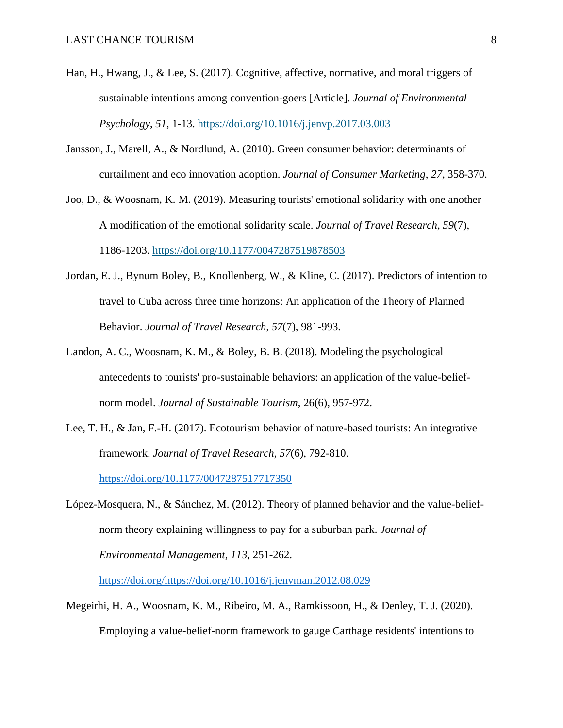- Han, H., Hwang, J., & Lee, S. (2017). Cognitive, affective, normative, and moral triggers of sustainable intentions among convention-goers [Article]. *Journal of Environmental Psychology*, *51*, 1-13. <https://doi.org/10.1016/j.jenvp.2017.03.003>
- Jansson, J., Marell, A., & Nordlund, A. (2010). Green consumer behavior: determinants of curtailment and eco innovation adoption. *Journal of Consumer Marketing*, *27*, 358-370.
- Joo, D., & Woosnam, K. M. (2019). Measuring tourists' emotional solidarity with one another— A modification of the emotional solidarity scale. *Journal of Travel Research*, *59*(7), 1186-1203. <https://doi.org/10.1177/0047287519878503>
- Jordan, E. J., Bynum Boley, B., Knollenberg, W., & Kline, C. (2017). Predictors of intention to travel to Cuba across three time horizons: An application of the Theory of Planned Behavior. *Journal of Travel Research*, *57*(7), 981-993.
- Landon, A. C., Woosnam, K. M., & Boley, B. B. (2018). Modeling the psychological antecedents to tourists' pro-sustainable behaviors: an application of the value-beliefnorm model. *Journal of Sustainable Tourism*, 26(6), 957-972.
- Lee, T. H., & Jan, F.-H. (2017). Ecotourism behavior of nature-based tourists: An integrative framework. *Journal of Travel Research*, *57*(6), 792-810. <https://doi.org/10.1177/0047287517717350>
- López-Mosquera, N., & Sánchez, M. (2012). Theory of planned behavior and the value-beliefnorm theory explaining willingness to pay for a suburban park. *Journal of Environmental Management*, *113*, 251-262.

[https://doi.org/https://doi.org/10.1016/j.jenvman.2012.08.029](https://doi.org/https:/doi.org/10.1016/j.jenvman.2012.08.029)

Megeirhi, H. A., Woosnam, K. M., Ribeiro, M. A., Ramkissoon, H., & Denley, T. J. (2020). Employing a value-belief-norm framework to gauge Carthage residents' intentions to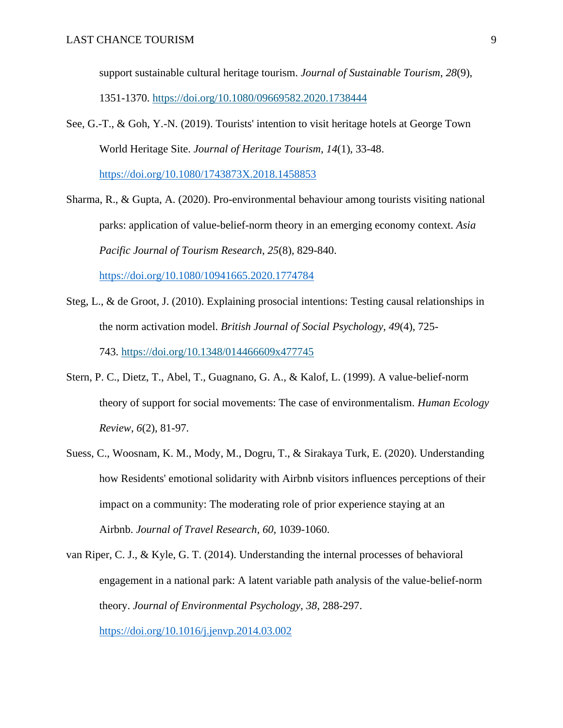support sustainable cultural heritage tourism. *Journal of Sustainable Tourism*, *28*(9), 1351-1370. <https://doi.org/10.1080/09669582.2020.1738444>

See, G.-T., & Goh, Y.-N. (2019). Tourists' intention to visit heritage hotels at George Town World Heritage Site. *Journal of Heritage Tourism*, *14*(1), 33-48.

<https://doi.org/10.1080/1743873X.2018.1458853>

- Sharma, R., & Gupta, A. (2020). Pro-environmental behaviour among tourists visiting national parks: application of value-belief-norm theory in an emerging economy context. *Asia Pacific Journal of Tourism Research*, *25*(8), 829-840. <https://doi.org/10.1080/10941665.2020.1774784>
- Steg, L., & de Groot, J. (2010). Explaining prosocial intentions: Testing causal relationships in the norm activation model. *British Journal of Social Psychology*, *49*(4), 725- 743. <https://doi.org/10.1348/014466609x477745>
- Stern, P. C., Dietz, T., Abel, T., Guagnano, G. A., & Kalof, L. (1999). A value-belief-norm theory of support for social movements: The case of environmentalism. *Human Ecology Review*, *6*(2), 81-97.
- Suess, C., Woosnam, K. M., Mody, M., Dogru, T., & Sirakaya Turk, E. (2020). Understanding how Residents' emotional solidarity with Airbnb visitors influences perceptions of their impact on a community: The moderating role of prior experience staying at an Airbnb. *Journal of Travel Research*, *60*, 1039-1060.
- van Riper, C. J., & Kyle, G. T. (2014). Understanding the internal processes of behavioral engagement in a national park: A latent variable path analysis of the value-belief-norm theory. *Journal of Environmental Psychology*, *38*, 288-297. <https://doi.org/10.1016/j.jenvp.2014.03.002>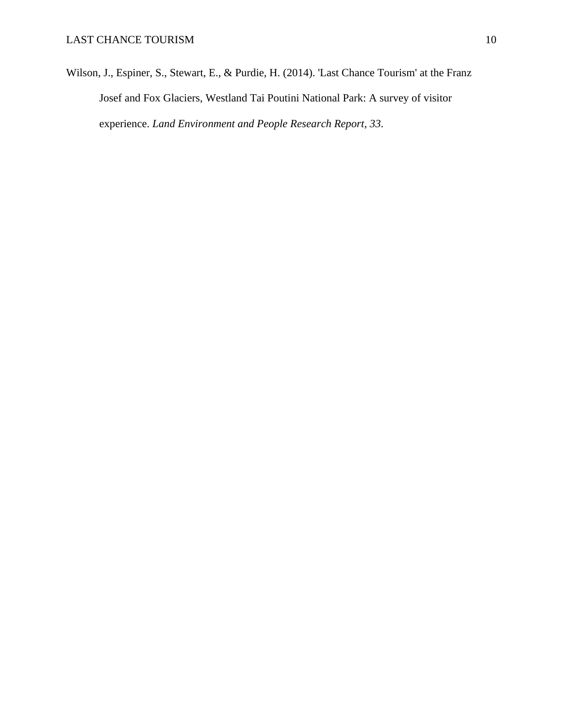Wilson, J., Espiner, S., Stewart, E., & Purdie, H. (2014). 'Last Chance Tourism' at the Franz Josef and Fox Glaciers, Westland Tai Poutini National Park: A survey of visitor experience. *Land Environment and People Research Report*, *33*.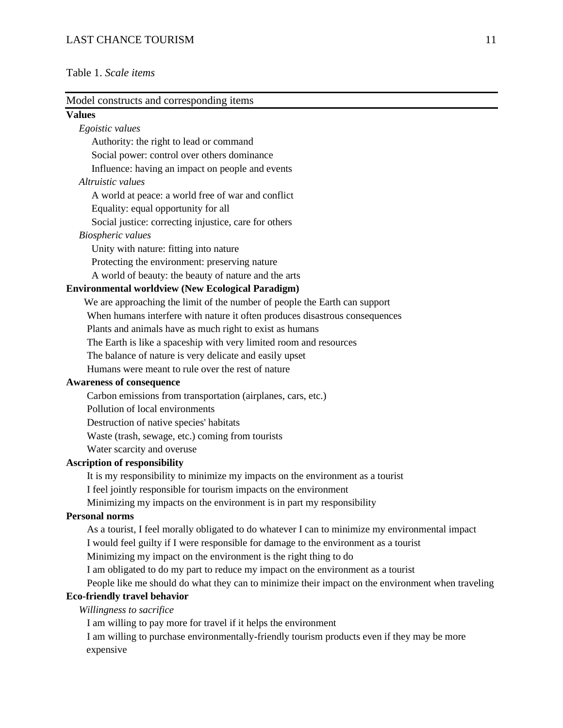# LAST CHANCE TOURISM 11

# Table 1. *Scale items*

| Model constructs and corresponding items                                                          |
|---------------------------------------------------------------------------------------------------|
| <b>Values</b>                                                                                     |
| Egoistic values                                                                                   |
| Authority: the right to lead or command                                                           |
| Social power: control over others dominance                                                       |
| Influence: having an impact on people and events                                                  |
| Altruistic values                                                                                 |
| A world at peace: a world free of war and conflict                                                |
| Equality: equal opportunity for all                                                               |
| Social justice: correcting injustice, care for others                                             |
| <b>Biospheric</b> values                                                                          |
| Unity with nature: fitting into nature                                                            |
| Protecting the environment: preserving nature                                                     |
| A world of beauty: the beauty of nature and the arts                                              |
| <b>Environmental worldview (New Ecological Paradigm)</b>                                          |
| We are approaching the limit of the number of people the Earth can support                        |
| When humans interfere with nature it often produces disastrous consequences                       |
| Plants and animals have as much right to exist as humans                                          |
| The Earth is like a spaceship with very limited room and resources                                |
| The balance of nature is very delicate and easily upset                                           |
| Humans were meant to rule over the rest of nature                                                 |
| <b>Awareness of consequence</b>                                                                   |
| Carbon emissions from transportation (airplanes, cars, etc.)                                      |
| Pollution of local environments                                                                   |
| Destruction of native species' habitats                                                           |
| Waste (trash, sewage, etc.) coming from tourists                                                  |
| Water scarcity and overuse                                                                        |
| <b>Ascription of responsibility</b>                                                               |
| It is my responsibility to minimize my impacts on the environment as a tourist                    |
| I feel jointly responsible for tourism impacts on the environment                                 |
| Minimizing my impacts on the environment is in part my responsibility                             |
| <b>Personal norms</b>                                                                             |
| As a tourist, I feel morally obligated to do whatever I can to minimize my environmental impact   |
| I would feel guilty if I were responsible for damage to the environment as a tourist              |
| Minimizing my impact on the environment is the right thing to do                                  |
| I am obligated to do my part to reduce my impact on the environment as a tourist                  |
| People like me should do what they can to minimize their impact on the environment when traveling |
| <b>Eco-friendly travel behavior</b>                                                               |
| Willingness to sacrifice                                                                          |
| I am willing to pay more for travel if it helps the environment                                   |
| I am willing to purchase environmentally-friendly tourism products even if they may be more       |

expensive